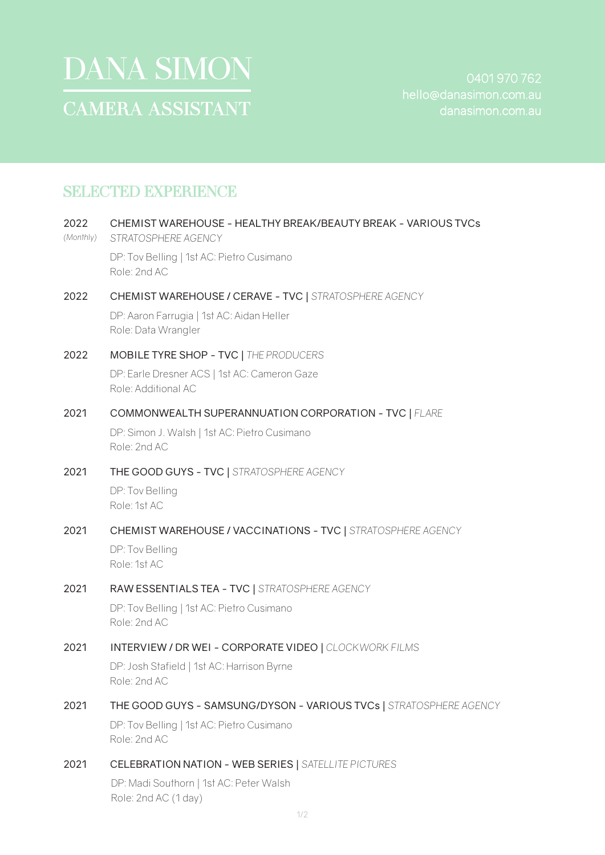

# SELECTED EXPERIENCE

| 2022<br>(Monthly) | CHEMIST WAREHOUSE - HEALTHY BREAK/BEAUTY BREAK - VARIOUS TVCs<br>STRATOSPHERE AGENCY |
|-------------------|--------------------------------------------------------------------------------------|
|                   | DP: Tov Belling   1st AC: Pietro Cusimano<br>Role: 2nd AC                            |
| 2022              | CHEMIST WAREHOUSE / CERAVE - TVC   STRATOSPHERE AGENCY                               |
|                   | DP: Aaron Farrugia   1st AC: Aidan Heller<br>Role: Data Wrangler                     |
| 2022              | MOBILE TYRE SHOP - TVC   THE PRODUCERS                                               |
|                   | DP: Earle Dresner ACS   1st AC: Cameron Gaze<br>Role: Additional AC                  |
| 2021              | COMMONWEALTH SUPERANNUATION CORPORATION - TVC   FLARE                                |
|                   | DP: Simon J. Walsh   1st AC: Pietro Cusimano<br>Role: 2nd AC                         |
| 2021              | THE GOOD GUYS - TVC   STRATOSPHERE AGENCY                                            |
|                   | DP: Tov Belling<br>Role: 1st AC                                                      |
| 2021              | CHEMIST WAREHOUSE / VACCINATIONS - TVC   STRATOSPHERE AGENCY                         |
|                   | DP: Tov Belling<br>Role: 1st AC                                                      |
| 2021              | RAW ESSENTIALS TEA - TVC   STRATOSPHERE AGENCY                                       |
|                   | DP: Tov Belling   1st AC: Pietro Cusimano<br>Role: 2nd AC                            |
| 2021              | <b>INTERVIEW / DR WEI - CORPORATE VIDEO   CLOCKWORK FILMS</b>                        |
|                   | DP: Josh Stafield   1st AC: Harrison Byrne<br>Role: 2nd AC                           |
| 2021              | THE GOOD GUYS - SAMSUNG/DYSON - VARIOUS TVCs   STRATOSPHERE AGENCY                   |
|                   | DP: Tov Belling   1st AC: Pietro Cusimano<br>Role: 2nd AC                            |
| 2021              | <b>CELEBRATION NATION - WEB SERIES   SATELLITE PICTURES</b>                          |
|                   | DP: Madi Southorn   1st AC: Peter Walsh<br>Role: 2nd AC (1 day)                      |